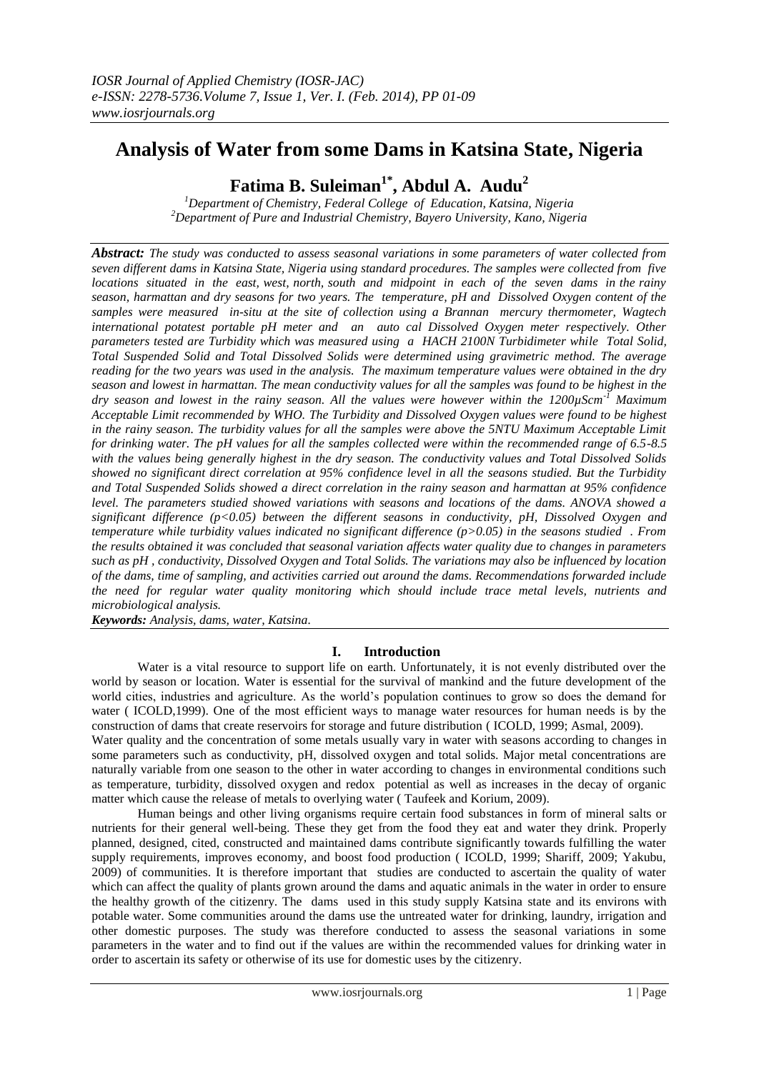# **Analysis of Water from some Dams in Katsina State, Nigeria**

# **Fatima B. Suleiman1\* , Abdul A. Audu<sup>2</sup>**

*<sup>1</sup>Department of Chemistry, Federal College of Education, Katsina, Nigeria <sup>2</sup>Department of Pure and Industrial Chemistry, Bayero University, Kano, Nigeria*

*Abstract: The study was conducted to assess seasonal variations in some parameters of water collected from seven different dams in Katsina State, Nigeria using standard procedures. The samples were collected from five locations situated in the east, west, north, south and midpoint in each of the seven dams in the rainy season, harmattan and dry seasons for two years. The temperature, pH and Dissolved Oxygen content of the samples were measured in-situ at the site of collection using a Brannan mercury thermometer, Wagtech international potatest portable pH meter and an auto cal Dissolved Oxygen meter respectively. Other parameters tested are Turbidity which was measured using a HACH 2100N Turbidimeter while Total Solid, Total Suspended Solid and Total Dissolved Solids were determined using gravimetric method. The average reading for the two years was used in the analysis. The maximum temperature values were obtained in the dry season and lowest in harmattan. The mean conductivity values for all the samples was found to be highest in the dry season and lowest in the rainy season. All the values were however within the 1200µScm-1 Maximum Acceptable Limit recommended by WHO. The Turbidity and Dissolved Oxygen values were found to be highest in the rainy season. The turbidity values for all the samples were above the 5NTU Maximum Acceptable Limit for drinking water. The pH values for all the samples collected were within the recommended range of 6.5-8.5 with the values being generally highest in the dry season. The conductivity values and Total Dissolved Solids showed no significant direct correlation at 95% confidence level in all the seasons studied. But the Turbidity and Total Suspended Solids showed a direct correlation in the rainy season and harmattan at 95% confidence level. The parameters studied showed variations with seasons and locations of the dams. ANOVA showed a significant difference (p<0.05) between the different seasons in conductivity, pH, Dissolved Oxygen and temperature while turbidity values indicated no significant difference (p>0.05) in the seasons studied . From the results obtained it was concluded that seasonal variation affects water quality due to changes in parameters such as pH , conductivity, Dissolved Oxygen and Total Solids. The variations may also be influenced by location of the dams, time of sampling, and activities carried out around the dams. Recommendations forwarded include the need for regular water quality monitoring which should include trace metal levels, nutrients and microbiological analysis.* 

*Keywords: Analysis, dams, water, Katsina.*

## **I. Introduction**

Water is a vital resource to support life on earth. Unfortunately, it is not evenly distributed over the world by season or location. Water is essential for the survival of mankind and the future development of the world cities, industries and agriculture. As the world's population continues to grow so does the demand for water ( ICOLD,1999). One of the most efficient ways to manage water resources for human needs is by the construction of dams that create reservoirs for storage and future distribution ( ICOLD, 1999; Asmal, 2009). Water quality and the concentration of some metals usually vary in water with seasons according to changes in

some parameters such as conductivity, pH, dissolved oxygen and total solids. Major metal concentrations are naturally variable from one season to the other in water according to changes in environmental conditions such as temperature, turbidity, dissolved oxygen and redox potential as well as increases in the decay of organic matter which cause the release of metals to overlying water ( Taufeek and Korium, 2009).

Human beings and other living organisms require certain food substances in form of mineral salts or nutrients for their general well-being. These they get from the food they eat and water they drink. Properly planned, designed, cited, constructed and maintained dams contribute significantly towards fulfilling the water supply requirements, improves economy, and boost food production ( ICOLD, 1999; Shariff, 2009; Yakubu, 2009) of communities. It is therefore important that studies are conducted to ascertain the quality of water which can affect the quality of plants grown around the dams and aquatic animals in the water in order to ensure the healthy growth of the citizenry. The dams used in this study supply Katsina state and its environs with potable water. Some communities around the dams use the untreated water for drinking, laundry, irrigation and other domestic purposes. The study was therefore conducted to assess the seasonal variations in some parameters in the water and to find out if the values are within the recommended values for drinking water in order to ascertain its safety or otherwise of its use for domestic uses by the citizenry.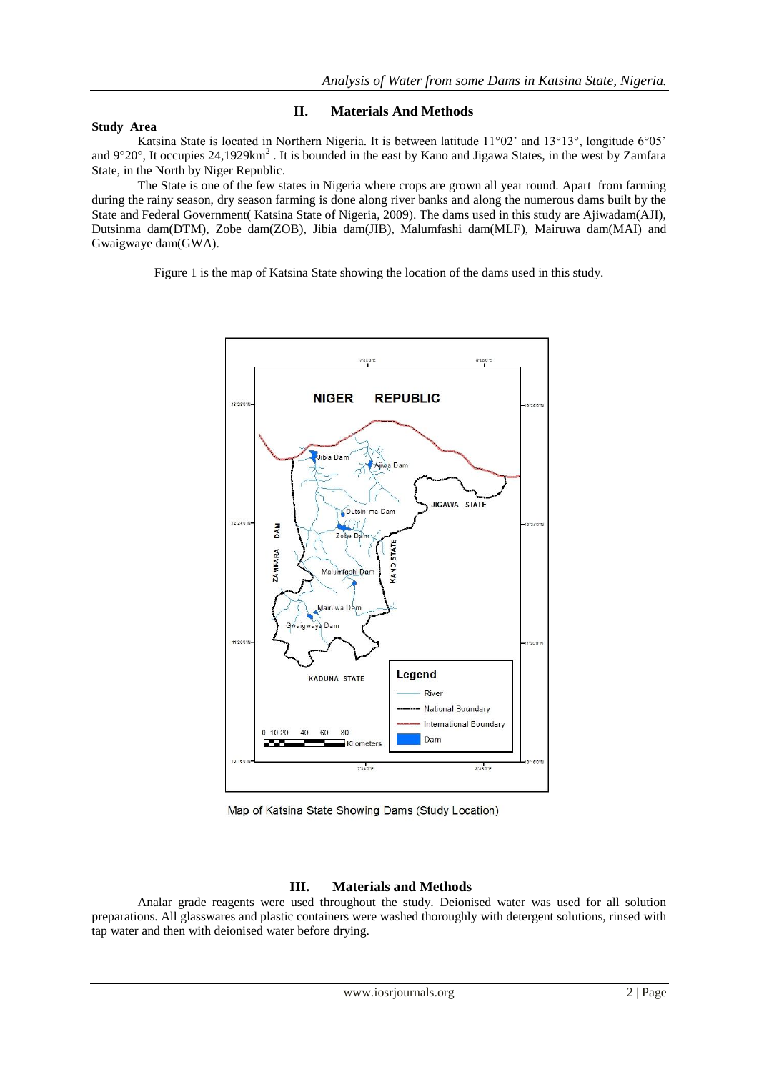#### **Study Area**

## **II. Materials And Methods**

Katsina State is located in Northern Nigeria. It is between latitude 11°02' and 13°13°, longitude 6°05' and  $9^{\circ}20^{\circ}$ , It occupies 24,1929km<sup>2</sup>. It is bounded in the east by Kano and Jigawa States, in the west by Zamfara State, in the North by Niger Republic.

The State is one of the few states in Nigeria where crops are grown all year round. Apart from farming during the rainy season, dry season farming is done along river banks and along the numerous dams built by the State and Federal Government( Katsina State of Nigeria, 2009). The dams used in this study are Ajiwadam(AJI), Dutsinma dam(DTM), Zobe dam(ZOB), Jibia dam(JIB), Malumfashi dam(MLF), Mairuwa dam(MAI) and Gwaigwaye dam(GWA).

Figure 1 is the map of Katsina State showing the location of the dams used in this study.



Map of Katsina State Showing Dams (Study Location)

## **III. Materials and Methods**

Analar grade reagents were used throughout the study. Deionised water was used for all solution preparations. All glasswares and plastic containers were washed thoroughly with detergent solutions, rinsed with tap water and then with deionised water before drying.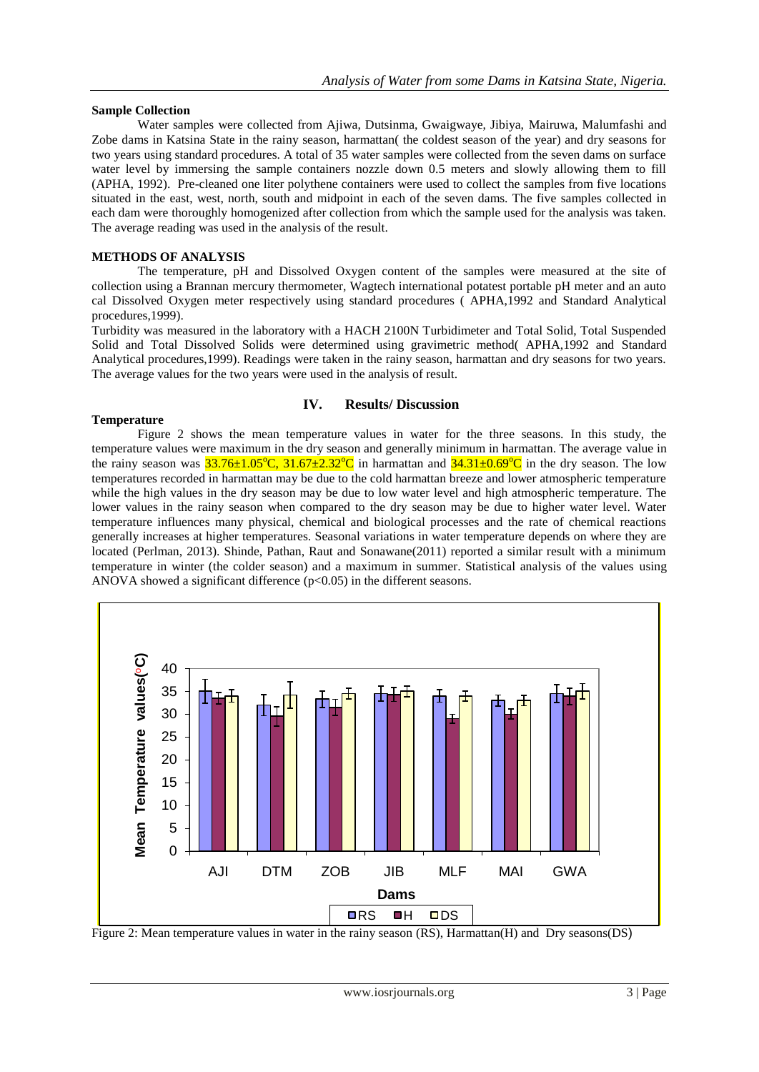#### **Sample Collection**

Water samples were collected from Ajiwa, Dutsinma, Gwaigwaye, Jibiya, Mairuwa, Malumfashi and Zobe dams in Katsina State in the rainy season, harmattan( the coldest season of the year) and dry seasons for two years using standard procedures. A total of 35 water samples were collected from the seven dams on surface water level by immersing the sample containers nozzle down 0.5 meters and slowly allowing them to fill (APHA, 1992). Pre-cleaned one liter polythene containers were used to collect the samples from five locations situated in the east, west, north, south and midpoint in each of the seven dams. The five samples collected in each dam were thoroughly homogenized after collection from which the sample used for the analysis was taken. The average reading was used in the analysis of the result.

### **METHODS OF ANALYSIS**

The temperature, pH and Dissolved Oxygen content of the samples were measured at the site of collection using a Brannan mercury thermometer, Wagtech international potatest portable pH meter and an auto cal Dissolved Oxygen meter respectively using standard procedures ( APHA,1992 and Standard Analytical procedures,1999).

Turbidity was measured in the laboratory with a HACH 2100N Turbidimeter and Total Solid, Total Suspended Solid and Total Dissolved Solids were determined using gravimetric method( APHA,1992 and Standard Analytical procedures,1999). Readings were taken in the rainy season, harmattan and dry seasons for two years. The average values for the two years were used in the analysis of result.

### **IV. Results/ Discussion**

### **Temperature**

Figure 2 shows the mean temperature values in water for the three seasons. In this study, the temperature values were maximum in the dry season and generally minimum in harmattan. The average value in the rainy season was  $33.76\pm1.05^{\circ}C$ ,  $31.67\pm2.32^{\circ}C$  in harmattan and  $34.31\pm0.69^{\circ}C$  in the dry season. The low temperatures recorded in harmattan may be due to the cold harmattan breeze and lower atmospheric temperature while the high values in the dry season may be due to low water level and high atmospheric temperature. The lower values in the rainy season when compared to the dry season may be due to higher water level. Water temperature influences many physical, chemical and biological processes and the rate of chemical reactions generally increases at higher temperatures. Seasonal variations in water temperature depends on where they are located (Perlman, 2013). Shinde, Pathan, Raut and Sonawane(2011) reported a similar result with a minimum temperature in winter (the colder season) and a maximum in summer. Statistical analysis of the values using ANOVA showed a significant difference  $(p<0.05)$  in the different seasons.



Figure 2: Mean temperature values in water in the rainy season (RS), Harmattan(H) and Dry seasons(DS)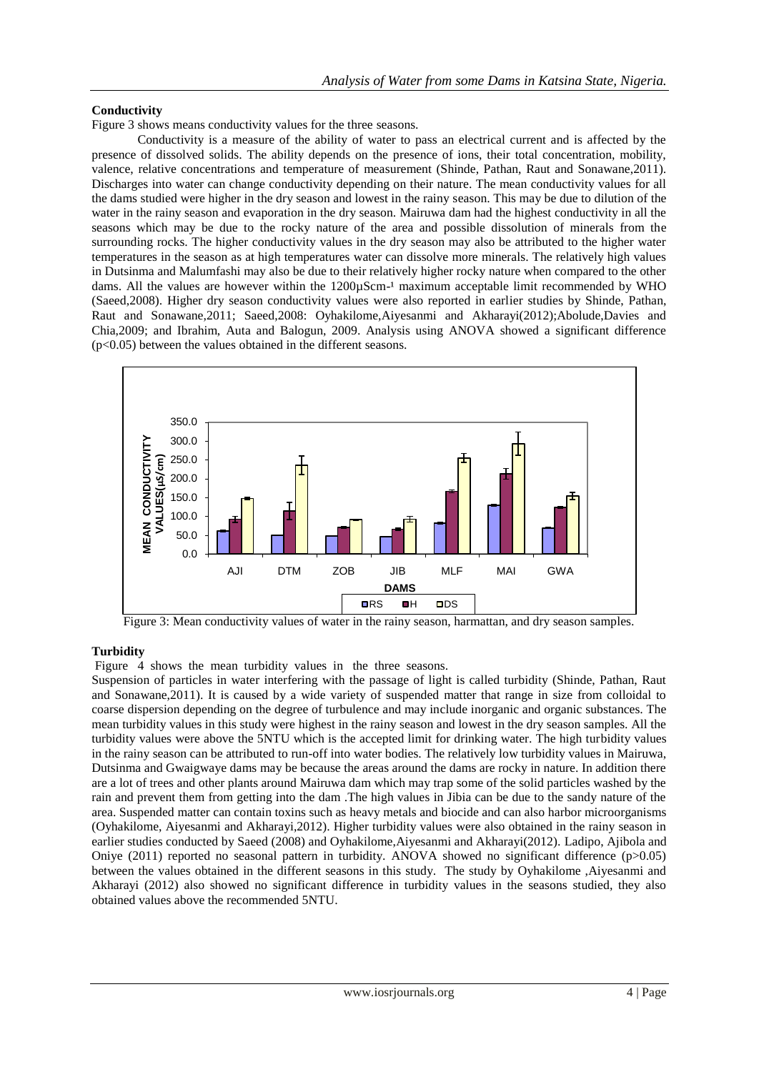### **Conductivity**

Figure 3 shows means conductivity values for the three seasons.

Conductivity is a measure of the ability of water to pass an electrical current and is affected by the presence of dissolved solids. The ability depends on the presence of ions, their total concentration, mobility, valence, relative concentrations and temperature of measurement (Shinde, Pathan, Raut and Sonawane,2011). Discharges into water can change conductivity depending on their nature. The mean conductivity values for all the dams studied were higher in the dry season and lowest in the rainy season. This may be due to dilution of the water in the rainy season and evaporation in the dry season. Mairuwa dam had the highest conductivity in all the seasons which may be due to the rocky nature of the area and possible dissolution of minerals from the surrounding rocks. The higher conductivity values in the dry season may also be attributed to the higher water temperatures in the season as at high temperatures water can dissolve more minerals. The relatively high values in Dutsinma and Malumfashi may also be due to their relatively higher rocky nature when compared to the other dams. All the values are however within the  $1200\mu$ Scm<sup>-1</sup> maximum acceptable limit recommended by WHO (Saeed,2008). Higher dry season conductivity values were also reported in earlier studies by Shinde, Pathan, Raut and Sonawane,2011; Saeed,2008: Oyhakilome,Aiyesanmi and Akharayi(2012);Abolude,Davies and Chia,2009; and Ibrahim, Auta and Balogun, 2009. Analysis using ANOVA showed a significant difference  $(p<0.05)$  between the values obtained in the different seasons.



Figure 3: Mean conductivity values of water in the rainy season, harmattan, and dry season samples.

## **Turbidity**

Figure 4 shows the mean turbidity values in the three seasons.

Suspension of particles in water interfering with the passage of light is called turbidity (Shinde, Pathan, Raut and Sonawane,2011). It is caused by a wide variety of suspended matter that range in size from colloidal to coarse dispersion depending on the degree of turbulence and may include inorganic and organic substances. The mean turbidity values in this study were highest in the rainy season and lowest in the dry season samples. All the turbidity values were above the 5NTU which is the accepted limit for drinking water. The high turbidity values in the rainy season can be attributed to run-off into water bodies. The relatively low turbidity values in Mairuwa, Dutsinma and Gwaigwaye dams may be because the areas around the dams are rocky in nature. In addition there are a lot of trees and other plants around Mairuwa dam which may trap some of the solid particles washed by the rain and prevent them from getting into the dam .The high values in Jibia can be due to the sandy nature of the area. Suspended matter can contain toxins such as heavy metals and biocide and can also harbor microorganisms (Oyhakilome, Aiyesanmi and Akharayi,2012). Higher turbidity values were also obtained in the rainy season in earlier studies conducted by Saeed (2008) and Oyhakilome,Aiyesanmi and Akharayi(2012). Ladipo, Ajibola and Oniye (2011) reported no seasonal pattern in turbidity. ANOVA showed no significant difference (p>0.05) between the values obtained in the different seasons in this study. The study by Oyhakilome ,Aiyesanmi and Akharayi (2012) also showed no significant difference in turbidity values in the seasons studied, they also obtained values above the recommended 5NTU.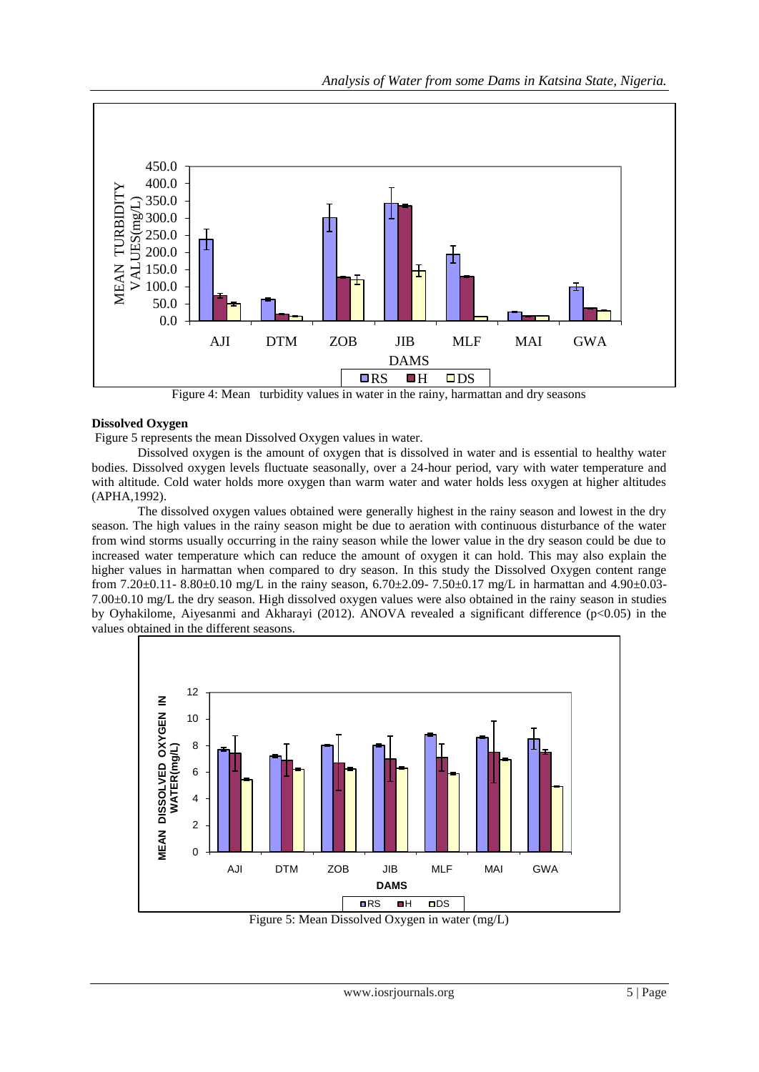

Figure 4: Mean turbidity values in water in the rainy, harmattan and dry seasons

### **Dissolved Oxygen**

Figure 5 represents the mean Dissolved Oxygen values in water.

Dissolved oxygen is the amount of oxygen that is dissolved in water and is essential to healthy water bodies. Dissolved oxygen levels fluctuate seasonally, over a 24-hour period, vary with water temperature and with altitude. Cold water holds more oxygen than warm water and water holds less oxygen at higher altitudes (APHA,1992).

The dissolved oxygen values obtained were generally highest in the rainy season and lowest in the dry season. The high values in the rainy season might be due to aeration with continuous disturbance of the water from wind storms usually occurring in the rainy season while the lower value in the dry season could be due to increased water temperature which can reduce the amount of oxygen it can hold. This may also explain the higher values in harmattan when compared to dry season. In this study the Dissolved Oxygen content range from 7.20±0.11- 8.80±0.10 mg/L in the rainy season, 6.70±2.09- 7.50±0.17 mg/L in harmattan and 4.90±0.03- 7.00±0.10 mg/L the dry season. High dissolved oxygen values were also obtained in the rainy season in studies by Oyhakilome, Aiyesanmi and Akharayi (2012). ANOVA revealed a significant difference (p<0.05) in the values obtained in the different seasons.



Figure 5: Mean Dissolved Oxygen in water (mg/L)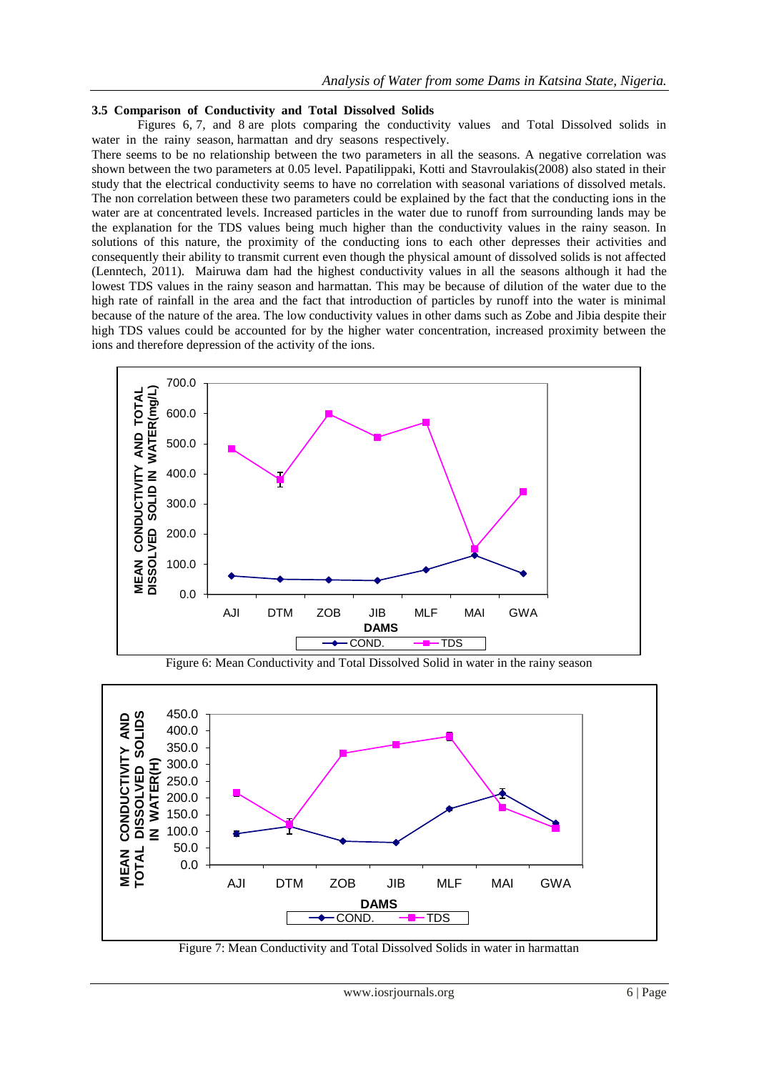#### **3.5 Comparison of Conductivity and Total Dissolved Solids**

Figures 6, 7, and 8 are plots comparing the conductivity values and Total Dissolved solids in water in the rainy season, harmattan and dry seasons respectively.

There seems to be no relationship between the two parameters in all the seasons. A negative correlation was shown between the two parameters at 0.05 level. Papatilippaki, Kotti and Stavroulakis(2008) also stated in their study that the electrical conductivity seems to have no correlation with seasonal variations of dissolved metals. The non correlation between these two parameters could be explained by the fact that the conducting ions in the water are at concentrated levels. Increased particles in the water due to runoff from surrounding lands may be the explanation for the TDS values being much higher than the conductivity values in the rainy season. In solutions of this nature, the proximity of the conducting ions to each other depresses their activities and consequently their ability to transmit current even though the physical amount of dissolved solids is not affected (Lenntech, 2011). Mairuwa dam had the highest conductivity values in all the seasons although it had the lowest TDS values in the rainy season and harmattan. This may be because of dilution of the water due to the high rate of rainfall in the area and the fact that introduction of particles by runoff into the water is minimal because of the nature of the area. The low conductivity values in other dams such as Zobe and Jibia despite their high TDS values could be accounted for by the higher water concentration, increased proximity between the ions and therefore depression of the activity of the ions.



Figure 6: Mean Conductivity and Total Dissolved Solid in water in the rainy season



Figure 7: Mean Conductivity and Total Dissolved Solids in water in harmattan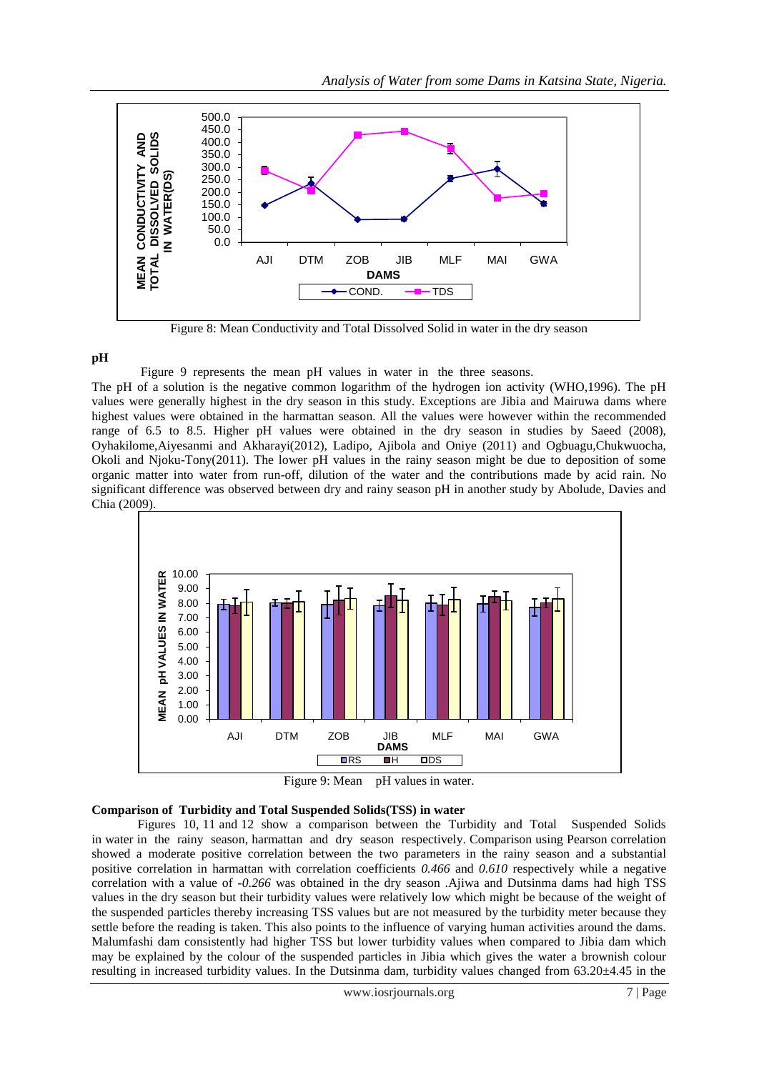

Figure 8: Mean Conductivity and Total Dissolved Solid in water in the dry season

## **pH**

Figure 9 represents the mean pH values in water in the three seasons.

The pH of a solution is the negative common logarithm of the hydrogen ion activity (WHO,1996). The pH values were generally highest in the dry season in this study. Exceptions are Jibia and Mairuwa dams where highest values were obtained in the harmattan season. All the values were however within the recommended range of 6.5 to 8.5. Higher pH values were obtained in the dry season in studies by Saeed (2008), Oyhakilome,Aiyesanmi and Akharayi(2012), Ladipo, Ajibola and Oniye (2011) and Ogbuagu,Chukwuocha, Okoli and Njoku-Tony(2011). The lower pH values in the rainy season might be due to deposition of some organic matter into water from run-off, dilution of the water and the contributions made by acid rain. No significant difference was observed between dry and rainy season pH in another study by Abolude, Davies and Chia (2009).



Figure 9: Mean pH values in water.

#### **Comparison of Turbidity and Total Suspended Solids(TSS) in water**

Figures 10, 11 and 12 show a comparison between the Turbidity and Total Suspended Solids in water in the rainy season, harmattan and dry season respectively. Comparison using Pearson correlation showed a moderate positive correlation between the two parameters in the rainy season and a substantial positive correlation in harmattan with correlation coefficients *0.466* and *0.610* respectively while a negative correlation with a value of *-0.266* was obtained in the dry season .Ajiwa and Dutsinma dams had high TSS values in the dry season but their turbidity values were relatively low which might be because of the weight of the suspended particles thereby increasing TSS values but are not measured by the turbidity meter because they settle before the reading is taken. This also points to the influence of varying human activities around the dams. Malumfashi dam consistently had higher TSS but lower turbidity values when compared to Jibia dam which may be explained by the colour of the suspended particles in Jibia which gives the water a brownish colour resulting in increased turbidity values. In the Dutsinma dam, turbidity values changed from  $63.20\pm4.45$  in the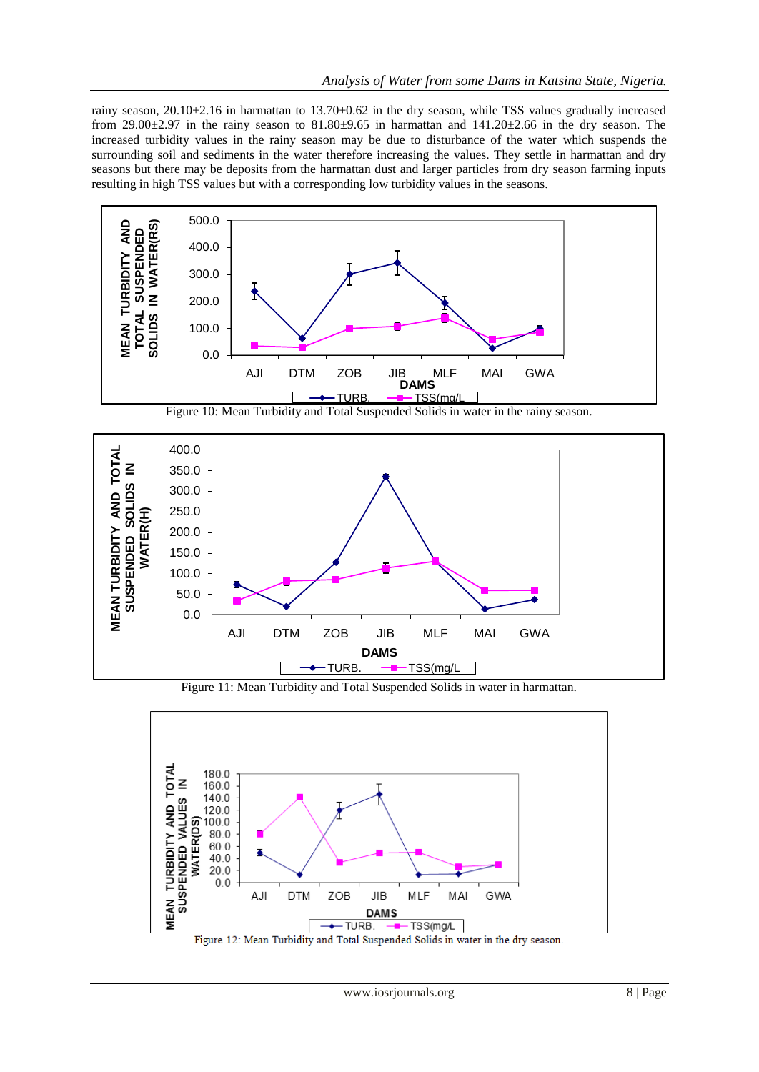rainy season,  $20.10\pm2.16$  in harmattan to  $13.70\pm0.62$  in the dry season, while TSS values gradually increased from 29.00 $\pm$ 2.97 in the rainy season to 81.80 $\pm$ 9.65 in harmattan and 141.20 $\pm$ 2.66 in the dry season. The increased turbidity values in the rainy season may be due to disturbance of the water which suspends the surrounding soil and sediments in the water therefore increasing the values. They settle in harmattan and dry seasons but there may be deposits from the harmattan dust and larger particles from dry season farming inputs resulting in high TSS values but with a corresponding low turbidity values in the seasons.





Figure 11: Mean Turbidity and Total Suspended Solids in water in harmattan.